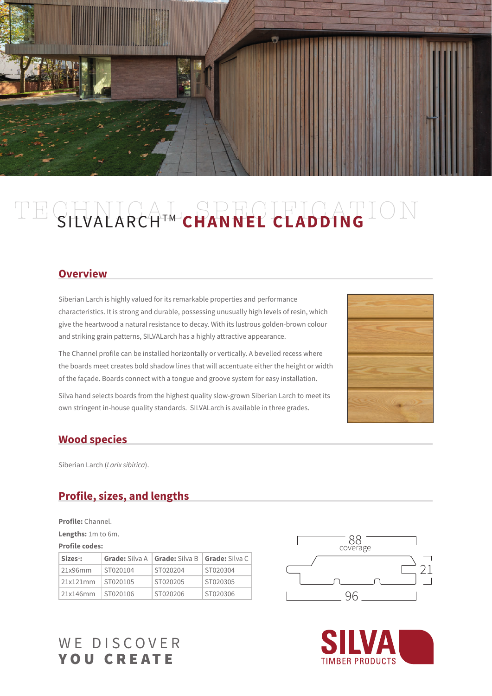

# TECHNICAL SPECIFICATION SILVALARCH<sup>TM</sup> CHANNEL CLADDING

#### **Overview**

Siberian Larch is highly valued for its remarkable properties and performance characteristics. It is strong and durable, possessing unusually high levels of resin, which give the heartwood a natural resistance to decay. With its lustrous golden-brown colour and striking grain patterns, SILVALarch has a highly attractive appearance.

The Channel profile can be installed horizontally or vertically. A bevelled recess where the boards meet creates bold shadow lines that will accentuate either the height or width of the façade. Boards connect with a tongue and groove system for easy installation.

Silva hand selects boards from the highest quality slow-grown Siberian Larch to meet its own stringent in-house quality standards. SILVALarch is available in three grades.



#### **Wood species**

Siberian Larch (*Larix sibirica*).

# **Profile, sizes, and lengths**

**Profile: Channel.** 

**Lengths:** 1m to 6m.

#### **Profile codes:**

| $SizeS1$ : |          | <b>Grade:</b> Silva A   <b>Grade:</b> Silva B   <b>Grade:</b> Silva C |          |
|------------|----------|-----------------------------------------------------------------------|----------|
| 21x96mm    | ST020104 | ST020204                                                              | ST020304 |
| 21x121mm   | ST020105 | ST020205                                                              | ST020305 |
| 21x146mm   | ST020106 | ST020206                                                              | ST020306 |





# WE DISCOVER YOU CREATE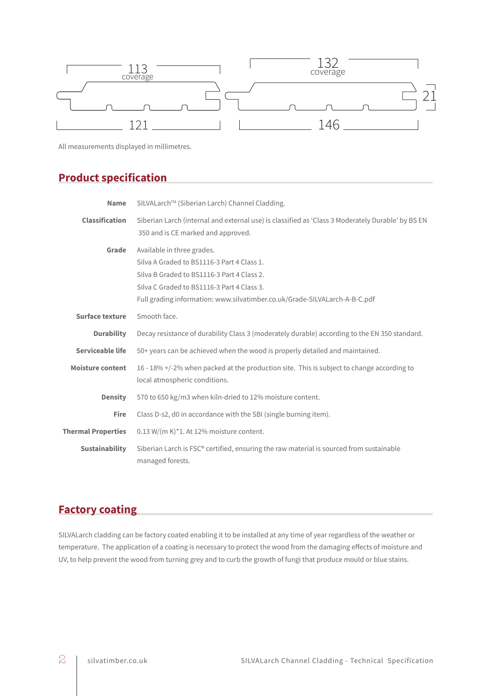

All measurements displayed in millimetres.

# **Product specification**

| <b>Name</b>               | SILVALarch™ (Siberian Larch) Channel Cladding.                                                                                                                                                                                                     |  |  |
|---------------------------|----------------------------------------------------------------------------------------------------------------------------------------------------------------------------------------------------------------------------------------------------|--|--|
| <b>Classification</b>     | Siberian Larch (internal and external use) is classified as 'Class 3 Moderately Durable' by BS EN<br>350 and is CE marked and approved.                                                                                                            |  |  |
| Grade                     | Available in three grades.<br>Silva A Graded to BS1116-3 Part 4 Class 1.<br>Silva B Graded to BS1116-3 Part 4 Class 2.<br>Silva C Graded to BS1116-3 Part 4 Class 3.<br>Full grading information: www.silvatimber.co.uk/Grade-SILVALarch-A-B-C.pdf |  |  |
| Surface texture           | Smooth face.                                                                                                                                                                                                                                       |  |  |
| <b>Durability</b>         | Decay resistance of durability Class 3 (moderately durable) according to the EN 350 standard.                                                                                                                                                      |  |  |
| Serviceable life          | 50+ years can be achieved when the wood is properly detailed and maintained.                                                                                                                                                                       |  |  |
| <b>Moisture content</b>   | 16 - 18% +/-2% when packed at the production site. This is subject to change according to<br>local atmospheric conditions.                                                                                                                         |  |  |
| <b>Density</b>            | 570 to 650 kg/m3 when kiln-dried to 12% moisture content.                                                                                                                                                                                          |  |  |
| Fire                      | Class D-s2, d0 in accordance with the SBI (single burning item).                                                                                                                                                                                   |  |  |
| <b>Thermal Properties</b> | $0.13$ W/(m K)*1. At 12% moisture content.                                                                                                                                                                                                         |  |  |
| <b>Sustainability</b>     | Siberian Larch is FSC® certified, ensuring the raw material is sourced from sustainable<br>managed forests.                                                                                                                                        |  |  |

# **Factory coating**

SILVALarch cladding can be factory coated enabling it to be installed at any time of year regardless of the weather or temperature. The application of a coating is necessary to protect the wood from the damaging effects of moisture and UV, to help prevent the wood from turning grey and to curb the growth of fungi that produce mould or blue stains.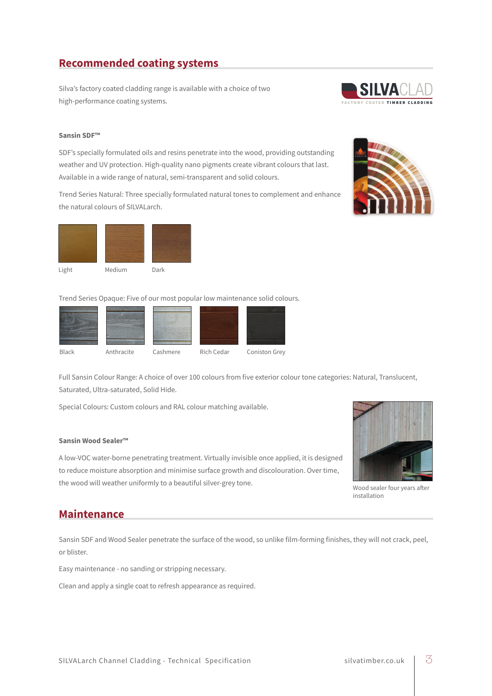# **Recommended coating systems**

Silva's factory coated cladding range is available with a choice of two high-performance coating systems.

### II VA FACTORY COATED TIMBER CLADDING

#### **Sansin SDF™**

SDF's specially formulated oils and resins penetrate into the wood, providing outstanding weather and UV protection. High-quality nano pigments create vibrant colours that last. Available in a wide range of natural, semi-transparent and solid colours.

Trend Series Natural: Three specially formulated natural tones to complement and enhance the natural colours of SILVALarch.



Trend Series Opaque: Five of our most popular low maintenance solid colours.



Full Sansin Colour Range: A choice of over 100 colours from five exterior colour tone categories: Natural, Translucent, Saturated, Ultra-saturated, Solid Hide.

Special Colours: Custom colours and RAL colour matching available.

#### **Sansin Wood Sealer™**

A low-VOC water-borne penetrating treatment. Virtually invisible once applied, it is designed to reduce moisture absorption and minimise surface growth and discolouration. Over time, the wood will weather uniformly to a beautiful silver-grey tone.



Wood sealer four years after installation

#### **Maintenance**

Sansin SDF and Wood Sealer penetrate the surface of the wood, so unlike film-forming finishes, they will not crack, peel, or blister.

Easy maintenance - no sanding or stripping necessary.

Clean and apply a single coat to refresh appearance as required.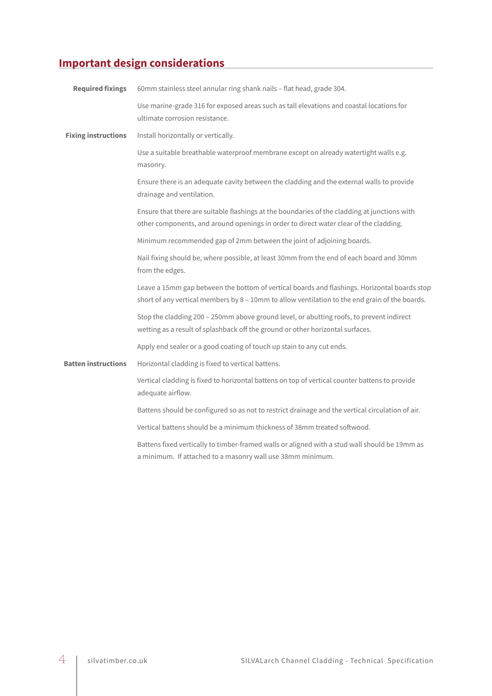# **Important design considerations**

| <b>Required fixings</b>    | 60mm stainless steel annular ring shank nails - flat head, grade 304.                                                                                                                          |  |  |
|----------------------------|------------------------------------------------------------------------------------------------------------------------------------------------------------------------------------------------|--|--|
|                            | Use marine-grade 316 for exposed areas such as tall elevations and coastal locations for<br>ultimate corrosion resistance.                                                                     |  |  |
| <b>Fixing instructions</b> | Install horizontally or vertically.                                                                                                                                                            |  |  |
|                            | Use a suitable breathable waterproof membrane except on already watertight walls e.g.<br>masonry.                                                                                              |  |  |
|                            | Ensure there is an adequate cavity between the cladding and the external walls to provide<br>drainage and ventilation.                                                                         |  |  |
|                            | Ensure that there are suitable flashings at the boundaries of the cladding at junctions with<br>other components, and around openings in order to direct water clear of the cladding.          |  |  |
|                            | Minimum recommended gap of 2mm between the joint of adjoining boards.                                                                                                                          |  |  |
|                            | Nail fixing should be, where possible, at least 30mm from the end of each board and 30mm<br>from the edges.                                                                                    |  |  |
|                            | Leave a 15mm gap between the bottom of vertical boards and flashings. Horizontal boards stop<br>short of any vertical members by 8 - 10mm to allow ventilation to the end grain of the boards. |  |  |
|                            | Stop the cladding 200 - 250mm above ground level, or abutting roofs, to prevent indirect<br>wetting as a result of splashback off the ground or other horizontal surfaces.                     |  |  |
|                            | Apply end sealer or a good coating of touch up stain to any cut ends.                                                                                                                          |  |  |
| <b>Batten instructions</b> | Horizontal cladding is fixed to vertical battens.                                                                                                                                              |  |  |
|                            | Vertical cladding is fixed to horizontal battens on top of vertical counter battens to provide<br>adequate airflow.                                                                            |  |  |
|                            | Battens should be configured so as not to restrict drainage and the vertical circulation of air.                                                                                               |  |  |
|                            | Vertical battens should be a minimum thickness of 38mm treated softwood.                                                                                                                       |  |  |
|                            | Battens fixed vertically to timber-framed walls or aligned with a stud wall should be 19mm as<br>a minimum. If attached to a masonry wall use 38mm minimum.                                    |  |  |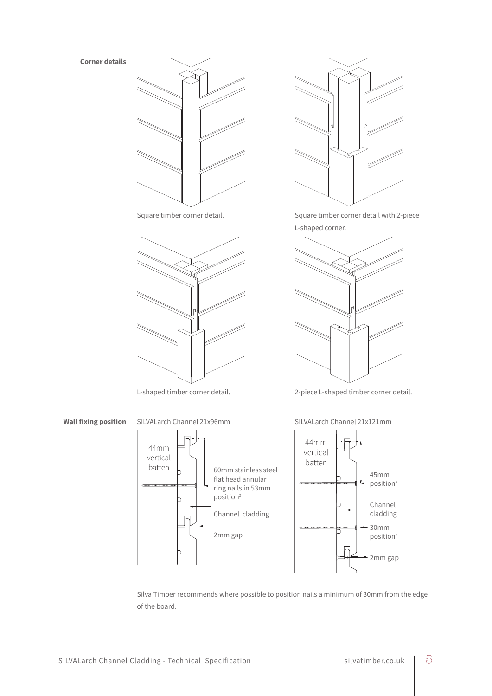**Corner details**







Square timber corner detail. Square timber corner detail with 2-piece L-shaped corner.



L-shaped timber corner detail. 2-piece L-shaped timber corner detail.



**Wall fixing position** SILVALarch Channel 21x96mm SILVALarch Channel 21x121mm





 Silva Timber recommends where possible to position nails a minimum of 30mm from the edge of the board.